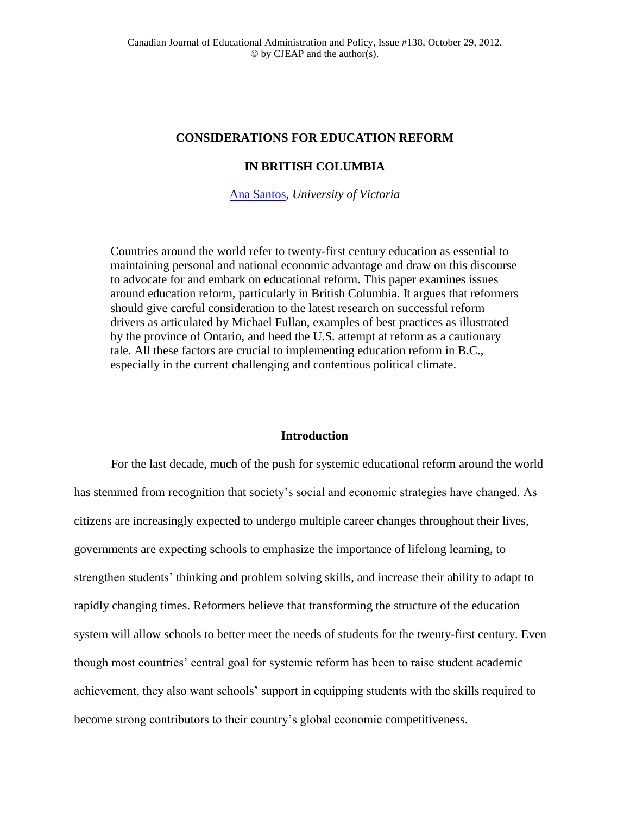# **CONSIDERATIONS FOR EDUCATION REFORM**

# **IN BRITISH COLUMBIA**

[Ana Santos,](mailto:Ana%20Santos%20%3cbelasantos64@gmail.com%3e) *University of Victoria*

Countries around the world refer to twenty-first century education as essential to maintaining personal and national economic advantage and draw on this discourse to advocate for and embark on educational reform. This paper examines issues around education reform, particularly in British Columbia. It argues that reformers should give careful consideration to the latest research on successful reform drivers as articulated by Michael Fullan, examples of best practices as illustrated by the province of Ontario, and heed the U.S. attempt at reform as a cautionary tale. All these factors are crucial to implementing education reform in B.C., especially in the current challenging and contentious political climate.

## **Introduction**

For the last decade, much of the push for systemic educational reform around the world has stemmed from recognition that society's social and economic strategies have changed. As citizens are increasingly expected to undergo multiple career changes throughout their lives, governments are expecting schools to emphasize the importance of lifelong learning, to strengthen students' thinking and problem solving skills, and increase their ability to adapt to rapidly changing times. Reformers believe that transforming the structure of the education system will allow schools to better meet the needs of students for the twenty-first century. Even though most countries' central goal for systemic reform has been to raise student academic achievement, they also want schools' support in equipping students with the skills required to become strong contributors to their country's global economic competitiveness.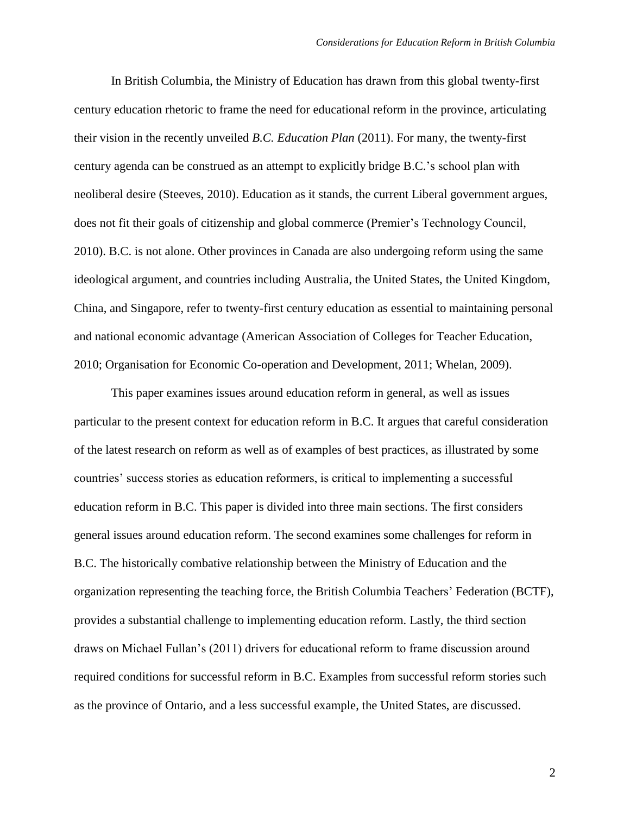In British Columbia, the Ministry of Education has drawn from this global twenty-first century education rhetoric to frame the need for educational reform in the province, articulating their vision in the recently unveiled *B.C. Education Plan* (2011). For many, the twenty-first century agenda can be construed as an attempt to explicitly bridge B.C.'s school plan with neoliberal desire (Steeves, 2010). Education as it stands, the current Liberal government argues, does not fit their goals of citizenship and global commerce (Premier's Technology Council, 2010). B.C. is not alone. Other provinces in Canada are also undergoing reform using the same ideological argument, and countries including Australia, the United States, the United Kingdom, China, and Singapore, refer to twenty-first century education as essential to maintaining personal and national economic advantage (American Association of Colleges for Teacher Education, 2010; Organisation for Economic Co-operation and Development, 2011; Whelan, 2009).

This paper examines issues around education reform in general, as well as issues particular to the present context for education reform in B.C. It argues that careful consideration of the latest research on reform as well as of examples of best practices, as illustrated by some countries' success stories as education reformers, is critical to implementing a successful education reform in B.C. This paper is divided into three main sections. The first considers general issues around education reform. The second examines some challenges for reform in B.C. The historically combative relationship between the Ministry of Education and the organization representing the teaching force, the British Columbia Teachers' Federation (BCTF), provides a substantial challenge to implementing education reform. Lastly, the third section draws on Michael Fullan's (2011) drivers for educational reform to frame discussion around required conditions for successful reform in B.C. Examples from successful reform stories such as the province of Ontario, and a less successful example, the United States, are discussed.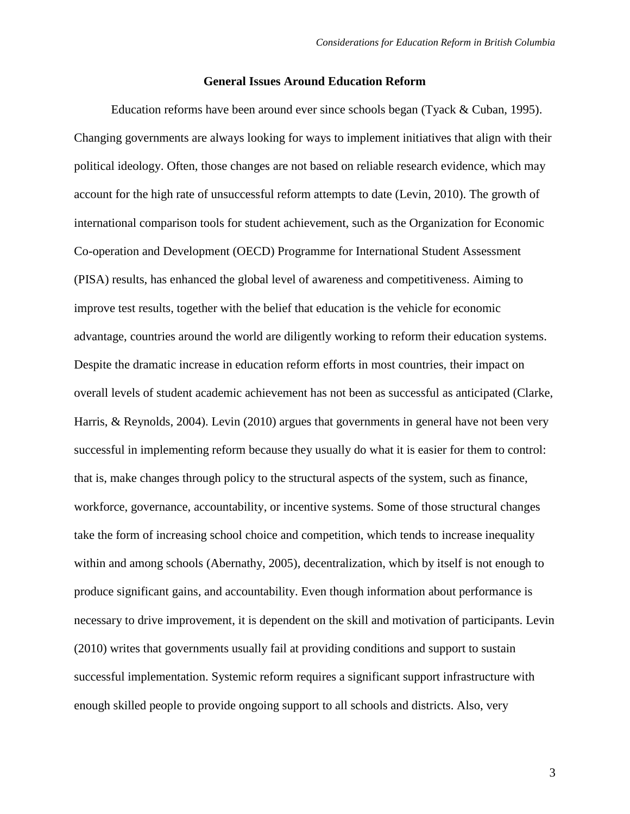### **General Issues Around Education Reform**

Education reforms have been around ever since schools began (Tyack & Cuban, 1995). Changing governments are always looking for ways to implement initiatives that align with their political ideology. Often, those changes are not based on reliable research evidence, which may account for the high rate of unsuccessful reform attempts to date (Levin, 2010). The growth of international comparison tools for student achievement, such as the Organization for Economic Co-operation and Development (OECD) Programme for International Student Assessment (PISA) results, has enhanced the global level of awareness and competitiveness. Aiming to improve test results, together with the belief that education is the vehicle for economic advantage, countries around the world are diligently working to reform their education systems. Despite the dramatic increase in education reform efforts in most countries, their impact on overall levels of student academic achievement has not been as successful as anticipated (Clarke, Harris, & Reynolds, 2004). Levin (2010) argues that governments in general have not been very successful in implementing reform because they usually do what it is easier for them to control: that is, make changes through policy to the structural aspects of the system, such as finance, workforce, governance, accountability, or incentive systems. Some of those structural changes take the form of increasing school choice and competition, which tends to increase inequality within and among schools (Abernathy, 2005), decentralization, which by itself is not enough to produce significant gains, and accountability. Even though information about performance is necessary to drive improvement, it is dependent on the skill and motivation of participants. Levin (2010) writes that governments usually fail at providing conditions and support to sustain successful implementation. Systemic reform requires a significant support infrastructure with enough skilled people to provide ongoing support to all schools and districts. Also, very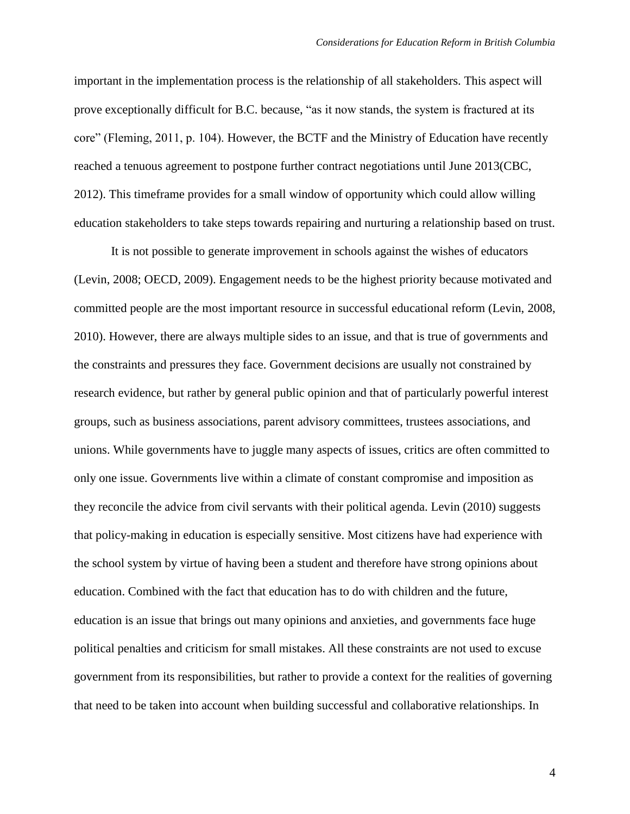important in the implementation process is the relationship of all stakeholders. This aspect will prove exceptionally difficult for B.C. because, "as it now stands, the system is fractured at its core" (Fleming, 2011, p. 104). However, the BCTF and the Ministry of Education have recently reached a tenuous agreement to postpone further contract negotiations until June 2013(CBC, 2012). This timeframe provides for a small window of opportunity which could allow willing education stakeholders to take steps towards repairing and nurturing a relationship based on trust.

It is not possible to generate improvement in schools against the wishes of educators (Levin, 2008; OECD, 2009). Engagement needs to be the highest priority because motivated and committed people are the most important resource in successful educational reform (Levin, 2008, 2010). However, there are always multiple sides to an issue, and that is true of governments and the constraints and pressures they face. Government decisions are usually not constrained by research evidence, but rather by general public opinion and that of particularly powerful interest groups, such as business associations, parent advisory committees, trustees associations, and unions. While governments have to juggle many aspects of issues, critics are often committed to only one issue. Governments live within a climate of constant compromise and imposition as they reconcile the advice from civil servants with their political agenda. Levin (2010) suggests that policy-making in education is especially sensitive. Most citizens have had experience with the school system by virtue of having been a student and therefore have strong opinions about education. Combined with the fact that education has to do with children and the future, education is an issue that brings out many opinions and anxieties, and governments face huge political penalties and criticism for small mistakes. All these constraints are not used to excuse government from its responsibilities, but rather to provide a context for the realities of governing that need to be taken into account when building successful and collaborative relationships. In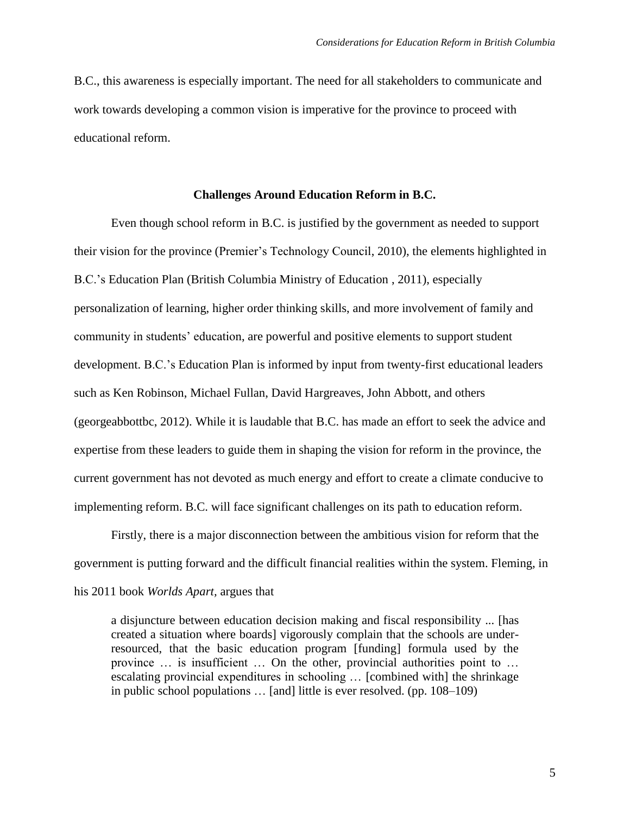B.C., this awareness is especially important. The need for all stakeholders to communicate and work towards developing a common vision is imperative for the province to proceed with educational reform.

# **Challenges Around Education Reform in B.C.**

Even though school reform in B.C. is justified by the government as needed to support their vision for the province (Premier's Technology Council, 2010), the elements highlighted in B.C.'s Education Plan (British Columbia Ministry of Education , 2011), especially personalization of learning, higher order thinking skills, and more involvement of family and community in students' education, are powerful and positive elements to support student development. B.C.'s Education Plan is informed by input from twenty-first educational leaders such as Ken Robinson, Michael Fullan, David Hargreaves, John Abbott, and others (georgeabbottbc, 2012). While it is laudable that B.C. has made an effort to seek the advice and expertise from these leaders to guide them in shaping the vision for reform in the province, the current government has not devoted as much energy and effort to create a climate conducive to implementing reform. B.C. will face significant challenges on its path to education reform.

Firstly, there is a major disconnection between the ambitious vision for reform that the government is putting forward and the difficult financial realities within the system. Fleming, in his 2011 book *Worlds Apart,* argues that

a disjuncture between education decision making and fiscal responsibility ... [has created a situation where boards] vigorously complain that the schools are underresourced, that the basic education program [funding] formula used by the province … is insufficient … On the other, provincial authorities point to … escalating provincial expenditures in schooling … [combined with] the shrinkage in public school populations … [and] little is ever resolved. (pp. 108–109)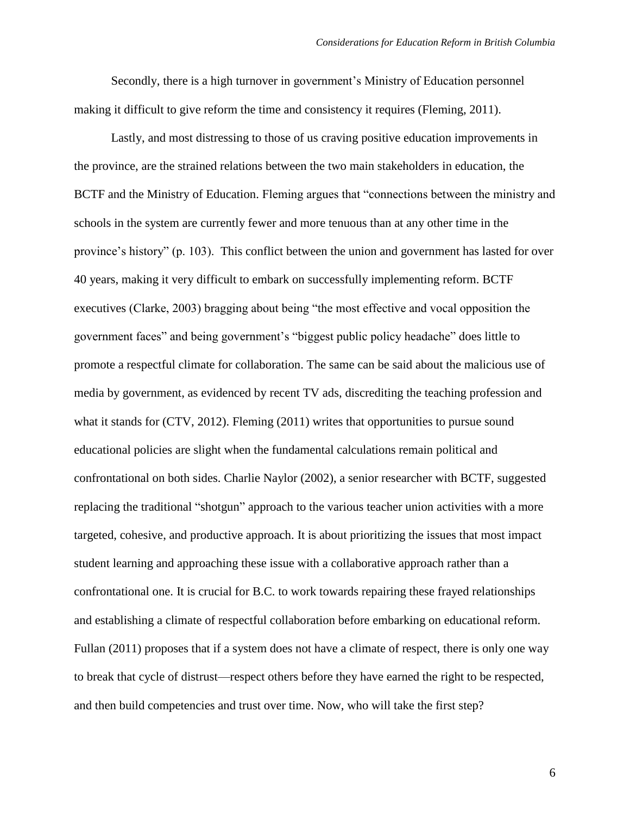Secondly, there is a high turnover in government's Ministry of Education personnel making it difficult to give reform the time and consistency it requires (Fleming, 2011).

Lastly, and most distressing to those of us craving positive education improvements in the province, are the strained relations between the two main stakeholders in education, the BCTF and the Ministry of Education. Fleming argues that "connections between the ministry and schools in the system are currently fewer and more tenuous than at any other time in the province's history" (p. 103). This conflict between the union and government has lasted for over 40 years, making it very difficult to embark on successfully implementing reform. BCTF executives (Clarke, 2003) bragging about being "the most effective and vocal opposition the government faces" and being government's "biggest public policy headache" does little to promote a respectful climate for collaboration. The same can be said about the malicious use of media by government, as evidenced by recent TV ads, discrediting the teaching profession and what it stands for (CTV, 2012). Fleming (2011) writes that opportunities to pursue sound educational policies are slight when the fundamental calculations remain political and confrontational on both sides. Charlie Naylor (2002), a senior researcher with BCTF, suggested replacing the traditional "shotgun" approach to the various teacher union activities with a more targeted, cohesive, and productive approach. It is about prioritizing the issues that most impact student learning and approaching these issue with a collaborative approach rather than a confrontational one. It is crucial for B.C. to work towards repairing these frayed relationships and establishing a climate of respectful collaboration before embarking on educational reform. Fullan (2011) proposes that if a system does not have a climate of respect, there is only one way to break that cycle of distrust—respect others before they have earned the right to be respected, and then build competencies and trust over time. Now, who will take the first step?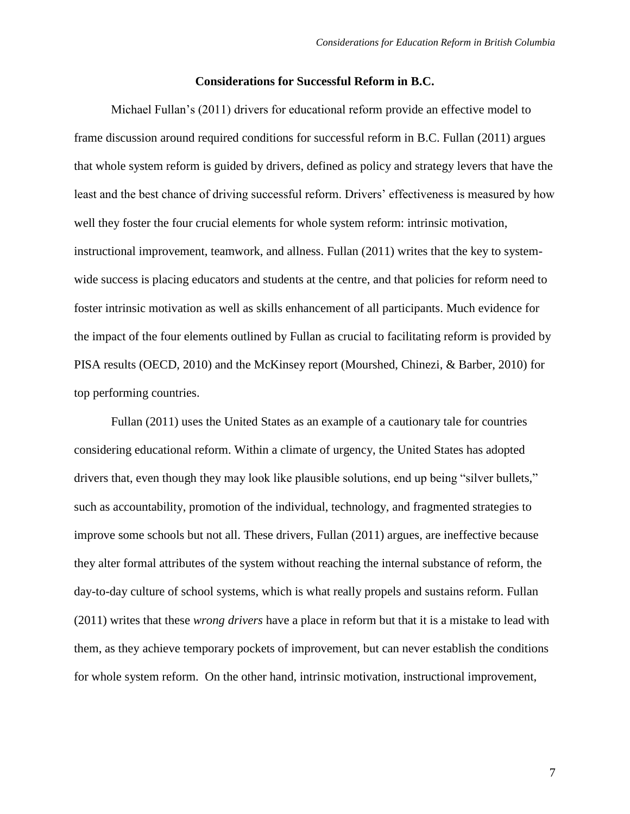### **Considerations for Successful Reform in B.C.**

Michael Fullan's (2011) drivers for educational reform provide an effective model to frame discussion around required conditions for successful reform in B.C. Fullan (2011) argues that whole system reform is guided by drivers, defined as policy and strategy levers that have the least and the best chance of driving successful reform. Drivers' effectiveness is measured by how well they foster the four crucial elements for whole system reform: intrinsic motivation, instructional improvement, teamwork, and allness. Fullan (2011) writes that the key to systemwide success is placing educators and students at the centre, and that policies for reform need to foster intrinsic motivation as well as skills enhancement of all participants. Much evidence for the impact of the four elements outlined by Fullan as crucial to facilitating reform is provided by PISA results (OECD, 2010) and the McKinsey report (Mourshed, Chinezi, & Barber, 2010) for top performing countries.

Fullan (2011) uses the United States as an example of a cautionary tale for countries considering educational reform. Within a climate of urgency, the United States has adopted drivers that, even though they may look like plausible solutions, end up being "silver bullets," such as accountability, promotion of the individual, technology, and fragmented strategies to improve some schools but not all. These drivers, Fullan (2011) argues, are ineffective because they alter formal attributes of the system without reaching the internal substance of reform, the day-to-day culture of school systems, which is what really propels and sustains reform. Fullan (2011) writes that these *wrong drivers* have a place in reform but that it is a mistake to lead with them, as they achieve temporary pockets of improvement, but can never establish the conditions for whole system reform. On the other hand, intrinsic motivation, instructional improvement,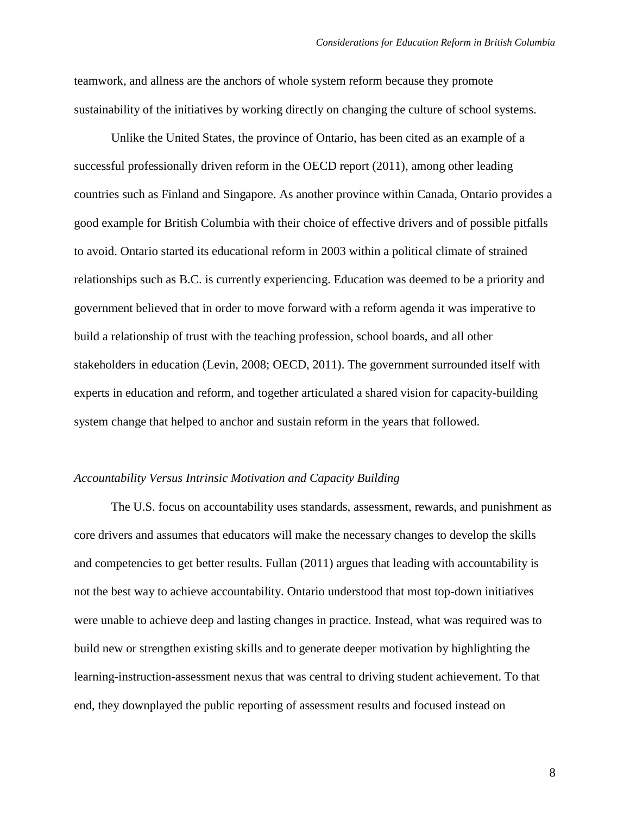teamwork, and allness are the anchors of whole system reform because they promote sustainability of the initiatives by working directly on changing the culture of school systems.

Unlike the United States, the province of Ontario, has been cited as an example of a successful professionally driven reform in the OECD report (2011), among other leading countries such as Finland and Singapore. As another province within Canada, Ontario provides a good example for British Columbia with their choice of effective drivers and of possible pitfalls to avoid. Ontario started its educational reform in 2003 within a political climate of strained relationships such as B.C. is currently experiencing. Education was deemed to be a priority and government believed that in order to move forward with a reform agenda it was imperative to build a relationship of trust with the teaching profession, school boards, and all other stakeholders in education (Levin, 2008; OECD, 2011). The government surrounded itself with experts in education and reform, and together articulated a shared vision for capacity-building system change that helped to anchor and sustain reform in the years that followed.

### *Accountability Versus Intrinsic Motivation and Capacity Building*

The U.S. focus on accountability uses standards, assessment, rewards, and punishment as core drivers and assumes that educators will make the necessary changes to develop the skills and competencies to get better results. Fullan (2011) argues that leading with accountability is not the best way to achieve accountability. Ontario understood that most top-down initiatives were unable to achieve deep and lasting changes in practice. Instead, what was required was to build new or strengthen existing skills and to generate deeper motivation by highlighting the learning-instruction-assessment nexus that was central to driving student achievement. To that end, they downplayed the public reporting of assessment results and focused instead on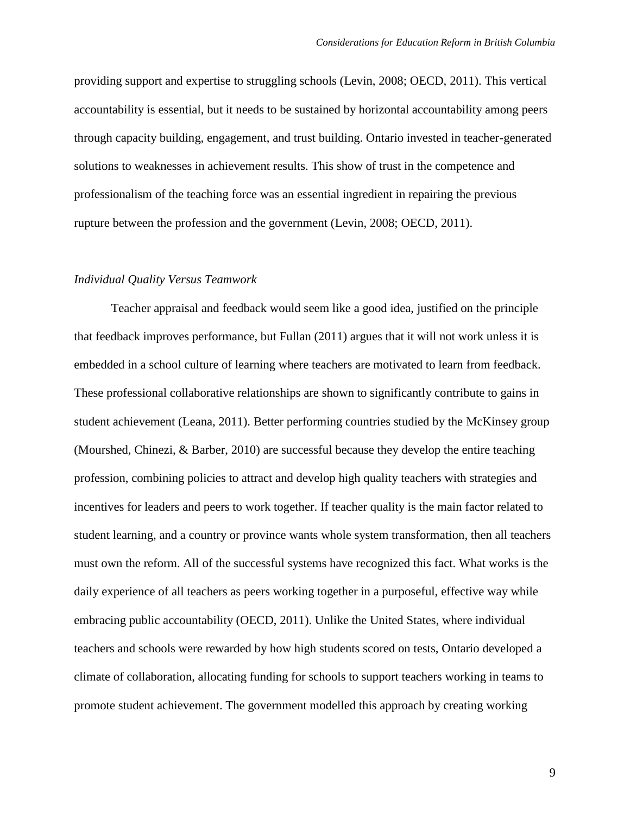providing support and expertise to struggling schools (Levin, 2008; OECD, 2011). This vertical accountability is essential, but it needs to be sustained by horizontal accountability among peers through capacity building, engagement, and trust building. Ontario invested in teacher-generated solutions to weaknesses in achievement results. This show of trust in the competence and professionalism of the teaching force was an essential ingredient in repairing the previous rupture between the profession and the government (Levin, 2008; OECD, 2011).

#### *Individual Quality Versus Teamwork*

Teacher appraisal and feedback would seem like a good idea, justified on the principle that feedback improves performance, but Fullan (2011) argues that it will not work unless it is embedded in a school culture of learning where teachers are motivated to learn from feedback. These professional collaborative relationships are shown to significantly contribute to gains in student achievement (Leana, 2011). Better performing countries studied by the McKinsey group (Mourshed, Chinezi, & Barber, 2010) are successful because they develop the entire teaching profession, combining policies to attract and develop high quality teachers with strategies and incentives for leaders and peers to work together. If teacher quality is the main factor related to student learning, and a country or province wants whole system transformation, then all teachers must own the reform. All of the successful systems have recognized this fact. What works is the daily experience of all teachers as peers working together in a purposeful, effective way while embracing public accountability (OECD, 2011). Unlike the United States, where individual teachers and schools were rewarded by how high students scored on tests, Ontario developed a climate of collaboration, allocating funding for schools to support teachers working in teams to promote student achievement. The government modelled this approach by creating working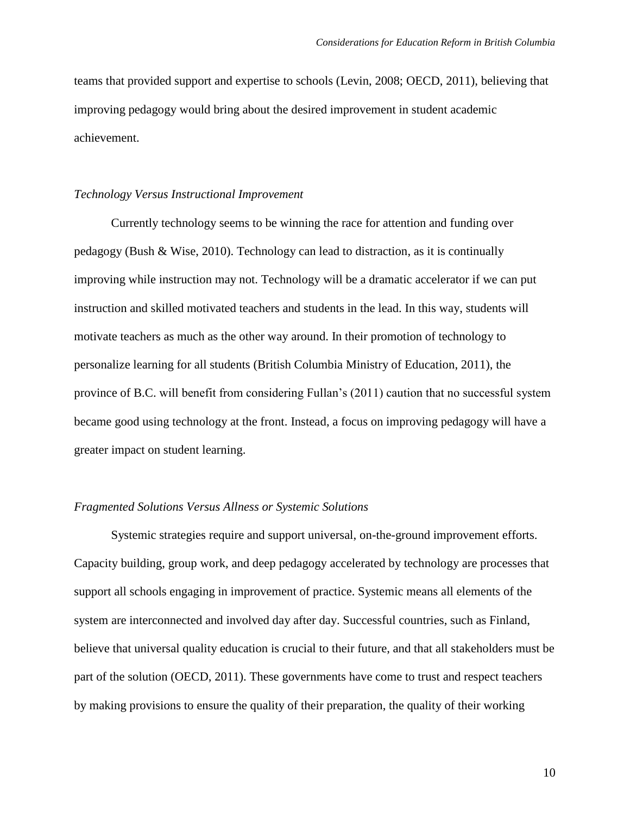teams that provided support and expertise to schools (Levin, 2008; OECD, 2011), believing that improving pedagogy would bring about the desired improvement in student academic achievement.

## *Technology Versus Instructional Improvement*

Currently technology seems to be winning the race for attention and funding over pedagogy (Bush & Wise, 2010). Technology can lead to distraction, as it is continually improving while instruction may not. Technology will be a dramatic accelerator if we can put instruction and skilled motivated teachers and students in the lead. In this way, students will motivate teachers as much as the other way around. In their promotion of technology to personalize learning for all students (British Columbia Ministry of Education, 2011), the province of B.C. will benefit from considering Fullan's (2011) caution that no successful system became good using technology at the front. Instead, a focus on improving pedagogy will have a greater impact on student learning.

### *Fragmented Solutions Versus Allness or Systemic Solutions*

Systemic strategies require and support universal, on-the-ground improvement efforts. Capacity building, group work, and deep pedagogy accelerated by technology are processes that support all schools engaging in improvement of practice. Systemic means all elements of the system are interconnected and involved day after day. Successful countries, such as Finland, believe that universal quality education is crucial to their future, and that all stakeholders must be part of the solution (OECD, 2011). These governments have come to trust and respect teachers by making provisions to ensure the quality of their preparation, the quality of their working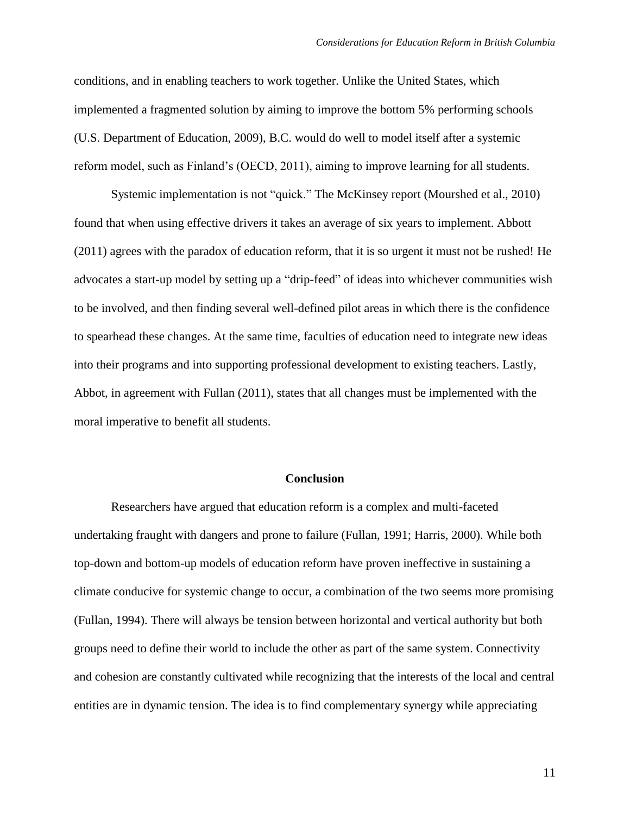conditions, and in enabling teachers to work together. Unlike the United States, which implemented a fragmented solution by aiming to improve the bottom 5% performing schools (U.S. Department of Education, 2009), B.C. would do well to model itself after a systemic reform model, such as Finland's (OECD, 2011), aiming to improve learning for all students.

Systemic implementation is not "quick." The McKinsey report (Mourshed et al., 2010) found that when using effective drivers it takes an average of six years to implement. Abbott (2011) agrees with the paradox of education reform, that it is so urgent it must not be rushed! He advocates a start-up model by setting up a "drip-feed" of ideas into whichever communities wish to be involved, and then finding several well-defined pilot areas in which there is the confidence to spearhead these changes. At the same time, faculties of education need to integrate new ideas into their programs and into supporting professional development to existing teachers. Lastly, Abbot, in agreement with Fullan (2011), states that all changes must be implemented with the moral imperative to benefit all students.

#### **Conclusion**

Researchers have argued that education reform is a complex and multi-faceted undertaking fraught with dangers and prone to failure (Fullan, 1991; Harris, 2000). While both top-down and bottom-up models of education reform have proven ineffective in sustaining a climate conducive for systemic change to occur, a combination of the two seems more promising (Fullan, 1994). There will always be tension between horizontal and vertical authority but both groups need to define their world to include the other as part of the same system. Connectivity and cohesion are constantly cultivated while recognizing that the interests of the local and central entities are in dynamic tension. The idea is to find complementary synergy while appreciating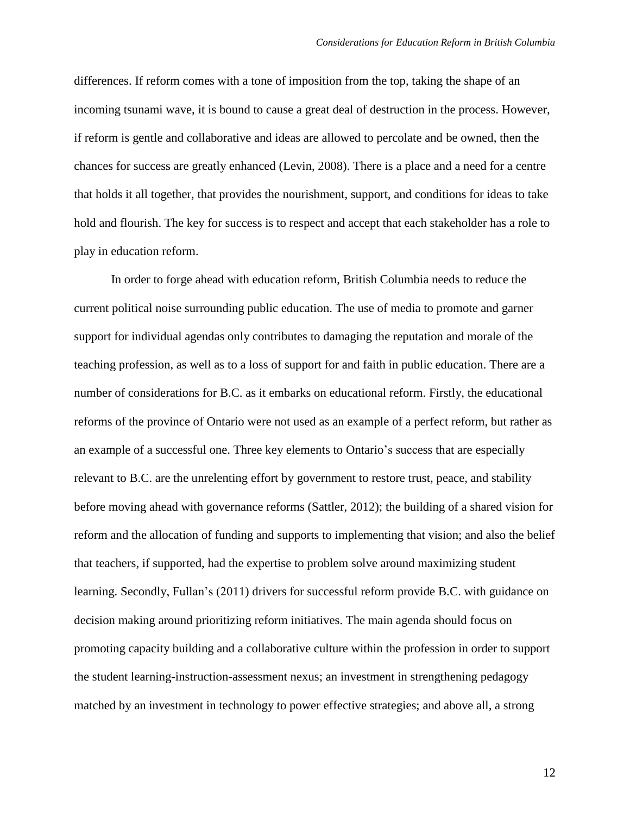differences. If reform comes with a tone of imposition from the top, taking the shape of an incoming tsunami wave, it is bound to cause a great deal of destruction in the process. However, if reform is gentle and collaborative and ideas are allowed to percolate and be owned, then the chances for success are greatly enhanced (Levin, 2008). There is a place and a need for a centre that holds it all together, that provides the nourishment, support, and conditions for ideas to take hold and flourish. The key for success is to respect and accept that each stakeholder has a role to play in education reform.

In order to forge ahead with education reform, British Columbia needs to reduce the current political noise surrounding public education. The use of media to promote and garner support for individual agendas only contributes to damaging the reputation and morale of the teaching profession, as well as to a loss of support for and faith in public education. There are a number of considerations for B.C. as it embarks on educational reform. Firstly, the educational reforms of the province of Ontario were not used as an example of a perfect reform, but rather as an example of a successful one. Three key elements to Ontario's success that are especially relevant to B.C. are the unrelenting effort by government to restore trust, peace, and stability before moving ahead with governance reforms (Sattler, 2012); the building of a shared vision for reform and the allocation of funding and supports to implementing that vision; and also the belief that teachers, if supported, had the expertise to problem solve around maximizing student learning. Secondly, Fullan's (2011) drivers for successful reform provide B.C. with guidance on decision making around prioritizing reform initiatives. The main agenda should focus on promoting capacity building and a collaborative culture within the profession in order to support the student learning-instruction-assessment nexus; an investment in strengthening pedagogy matched by an investment in technology to power effective strategies; and above all, a strong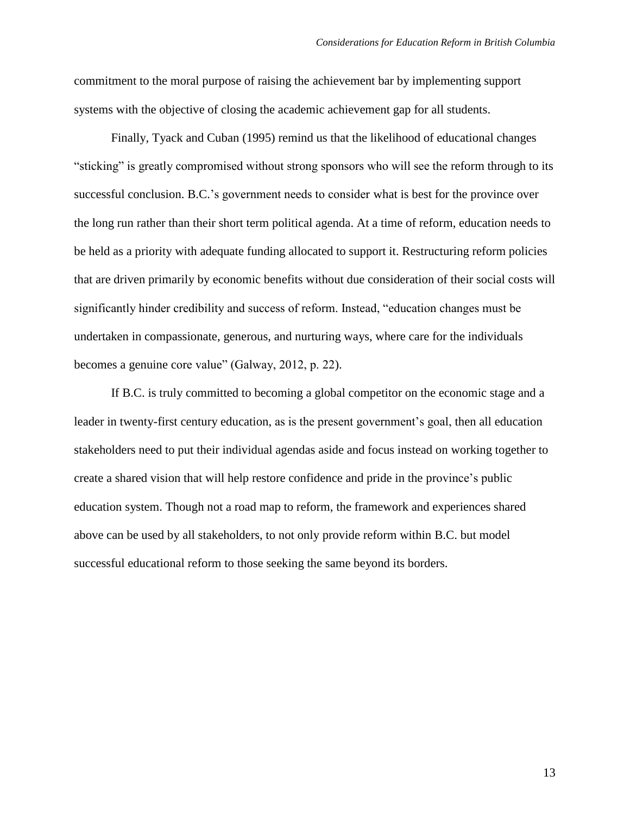commitment to the moral purpose of raising the achievement bar by implementing support systems with the objective of closing the academic achievement gap for all students.

Finally, Tyack and Cuban (1995) remind us that the likelihood of educational changes "sticking" is greatly compromised without strong sponsors who will see the reform through to its successful conclusion. B.C.'s government needs to consider what is best for the province over the long run rather than their short term political agenda. At a time of reform, education needs to be held as a priority with adequate funding allocated to support it. Restructuring reform policies that are driven primarily by economic benefits without due consideration of their social costs will significantly hinder credibility and success of reform. Instead, "education changes must be undertaken in compassionate, generous, and nurturing ways, where care for the individuals becomes a genuine core value" (Galway, 2012, p. 22).

If B.C. is truly committed to becoming a global competitor on the economic stage and a leader in twenty-first century education, as is the present government's goal, then all education stakeholders need to put their individual agendas aside and focus instead on working together to create a shared vision that will help restore confidence and pride in the province's public education system. Though not a road map to reform, the framework and experiences shared above can be used by all stakeholders, to not only provide reform within B.C. but model successful educational reform to those seeking the same beyond its borders.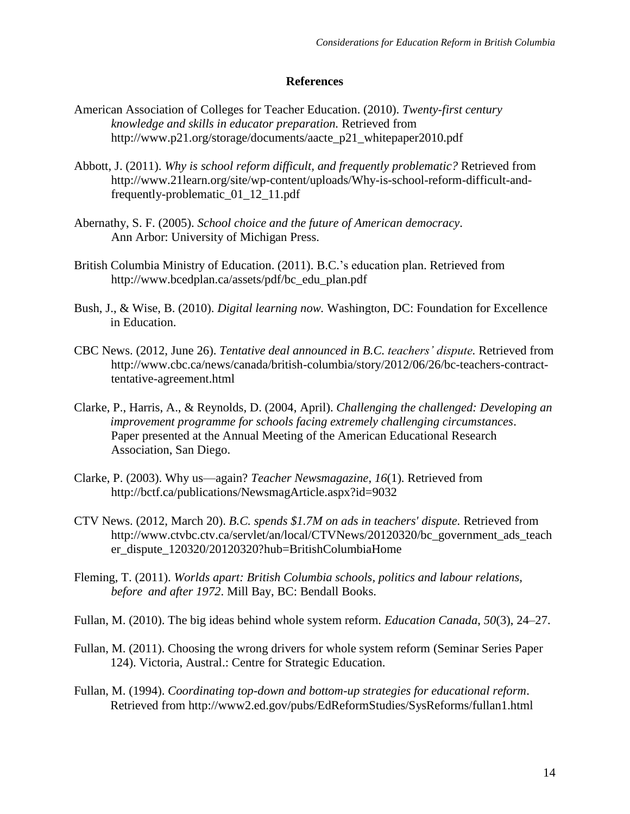# **References**

- American Association of Colleges for Teacher Education. (2010). *Twenty-first century knowledge and skills in educator preparation.* Retrieved from http://www.p21.org/storage/documents/aacte\_p21\_whitepaper2010.pdf
- Abbott, J. (2011). *Why is school reform difficult, and frequently problematic?* Retrieved from http://www.21learn.org/site/wp-content/uploads/Why-is-school-reform-difficult-andfrequently-problematic\_01\_12\_11.pdf
- Abernathy, S. F. (2005). *School choice and the future of American democracy*. Ann Arbor: University of Michigan Press.
- British Columbia Ministry of Education. (2011). B.C.'s education plan. Retrieved from http://www.bcedplan.ca/assets/pdf/bc\_edu\_plan.pdf
- Bush, J., & Wise, B. (2010). *Digital learning now.* Washington, DC: Foundation for Excellence in Education.
- CBC News. (2012, June 26). *Tentative deal announced in B.C. teachers' dispute.* Retrieved from http://www.cbc.ca/news/canada/british-columbia/story/2012/06/26/bc-teachers-contracttentative-agreement.html
- Clarke, P., Harris, A., & Reynolds, D. (2004, April). *Challenging the challenged: Developing an improvement programme for schools facing extremely challenging circumstances*. Paper presented at the Annual Meeting of the American Educational Research Association, San Diego.
- Clarke, P. (2003). Why us—again? *Teacher Newsmagazine*, *16*(1). Retrieved from http://bctf.ca/publications/NewsmagArticle.aspx?id=9032
- CTV News. (2012, March 20). *B.C. spends \$1.7M on ads in teachers' dispute.* Retrieved from http://www.ctvbc.ctv.ca/servlet/an/local/CTVNews/20120320/bc\_government\_ads\_teach er\_dispute\_120320/20120320?hub=BritishColumbiaHome
- Fleming, T. (2011). *Worlds apart: British Columbia schools, politics and labour relations, before and after 1972*. Mill Bay, BC: Bendall Books.
- Fullan, M. (2010). The big ideas behind whole system reform. *Education Canada*, *50*(3), 24–27.
- Fullan, M. (2011). Choosing the wrong drivers for whole system reform (Seminar Series Paper 124). Victoria, Austral.: Centre for Strategic Education.
- Fullan, M. (1994). *Coordinating top-down and bottom-up strategies for educational reform*. Retrieved from http://www2.ed.gov/pubs/EdReformStudies/SysReforms/fullan1.html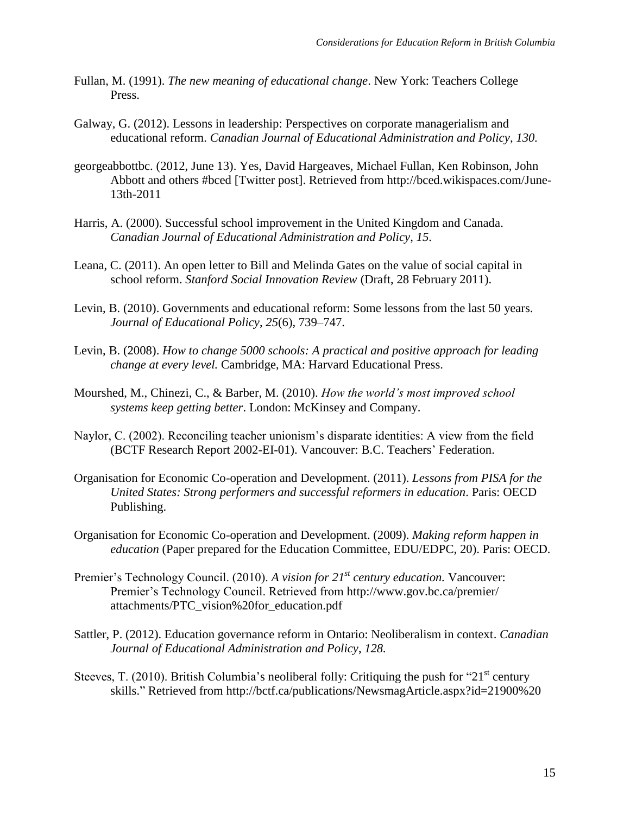- Fullan, M. (1991). *The new meaning of educational change*. New York: Teachers College Press.
- Galway, G. (2012). Lessons in leadership: Perspectives on corporate managerialism and educational reform. *Canadian Journal of Educational Administration and Policy*, *130.*
- georgeabbottbc. (2012, June 13). Yes, David Hargeaves, Michael Fullan, Ken Robinson, John Abbott and others #bced [Twitter post]. Retrieved from http://bced.wikispaces.com/June-13th-2011
- Harris, A. (2000). Successful school improvement in the United Kingdom and Canada. *Canadian Journal of Educational Administration and Policy*, *15*.
- Leana, C. (2011). An open letter to Bill and Melinda Gates on the value of social capital in school reform. *Stanford Social Innovation Review* (Draft, 28 February 2011).
- Levin, B. (2010). Governments and educational reform: Some lessons from the last 50 years. *Journal of Educational Policy*, *25*(6), 739–747.
- Levin, B. (2008). *How to change 5000 schools: A practical and positive approach for leading change at every level.* Cambridge, MA: Harvard Educational Press.
- Mourshed, M., Chinezi, C., & Barber, M. (2010). *How the world's most improved school systems keep getting better*. London: McKinsey and Company.
- Naylor, C. (2002). Reconciling teacher unionism's disparate identities: A view from the field (BCTF Research Report 2002-EI-01). Vancouver: B.C. Teachers' Federation.
- Organisation for Economic Co-operation and Development. (2011). *Lessons from PISA for the United States: Strong performers and successful reformers in education*. Paris: OECD Publishing.
- Organisation for Economic Co-operation and Development. (2009). *Making reform happen in education* (Paper prepared for the Education Committee, EDU/EDPC, 20). Paris: OECD.
- Premier's Technology Council. (2010). *A vision for 21st century education.* Vancouver: Premier's Technology Council. Retrieved from http://www.gov.bc.ca/premier/ attachments/PTC\_vision%20for\_education.pdf
- Sattler, P. (2012). Education governance reform in Ontario: Neoliberalism in context. *Canadian Journal of Educational Administration and Policy*, *128.*
- Steeves, T. (2010). British Columbia's neoliberal folly: Critiquing the push for "21<sup>st</sup> century" skills." Retrieved from http://bctf.ca/publications/NewsmagArticle.aspx?id=21900%20